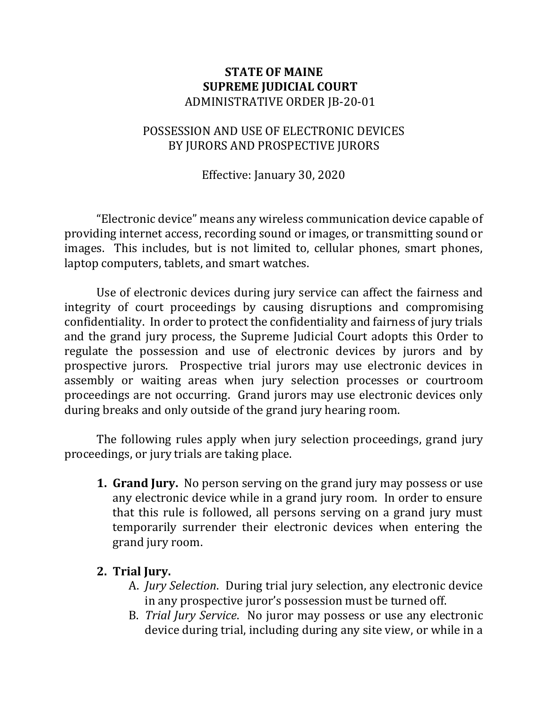## **STATE OF MAINE SUPREME JUDICIAL COURT** ADMINISTRATIVE ORDER JB-20-01

## POSSESSION AND USE OF ELECTRONIC DEVICES BY JURORS AND PROSPECTIVE JURORS

Effective: January 30, 2020

"Electronic device" means any wireless communication device capable of providing internet access, recording sound or images, or transmitting sound or images. This includes, but is not limited to, cellular phones, smart phones, laptop computers, tablets, and smart watches.

Use of electronic devices during jury service can affect the fairness and integrity of court proceedings by causing disruptions and compromising confidentiality. In order to protect the confidentiality and fairness of jury trials and the grand jury process, the Supreme Judicial Court adopts this Order to regulate the possession and use of electronic devices by jurors and by prospective jurors. Prospective trial jurors may use electronic devices in assembly or waiting areas when jury selection processes or courtroom proceedings are not occurring. Grand jurors may use electronic devices only during breaks and only outside of the grand jury hearing room.

The following rules apply when jury selection proceedings, grand jury proceedings, or jury trials are taking place.

- **1. Grand Jury.** No person serving on the grand jury may possess or use any electronic device while in a grand jury room. In order to ensure that this rule is followed, all persons serving on a grand jury must temporarily surrender their electronic devices when entering the grand jury room.
- **2. Trial Jury.**
	- A. *Jury Selection*. During trial jury selection, any electronic device in any prospective juror's possession must be turned off.
	- B. *Trial Jury Service*. No juror may possess or use any electronic device during trial, including during any site view, or while in a